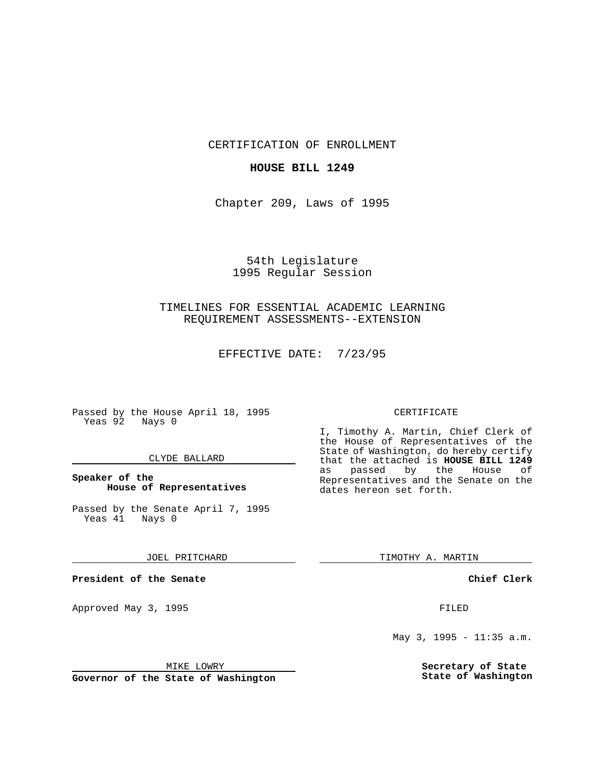CERTIFICATION OF ENROLLMENT

### **HOUSE BILL 1249**

Chapter 209, Laws of 1995

# 54th Legislature 1995 Regular Session

## TIMELINES FOR ESSENTIAL ACADEMIC LEARNING REQUIREMENT ASSESSMENTS--EXTENSION

EFFECTIVE DATE: 7/23/95

Passed by the House April 18, 1995 Yeas 92 Nays 0

### CLYDE BALLARD

### **Speaker of the House of Representatives**

Passed by the Senate April 7, 1995<br>Yeas 41 Nays 0 Yeas 41

#### JOEL PRITCHARD

**President of the Senate**

Approved May 3, 1995 **FILED** 

### MIKE LOWRY

**Governor of the State of Washington**

#### CERTIFICATE

I, Timothy A. Martin, Chief Clerk of the House of Representatives of the State of Washington, do hereby certify that the attached is **HOUSE BILL 1249** as passed by the House of Representatives and the Senate on the dates hereon set forth.

TIMOTHY A. MARTIN

#### **Chief Clerk**

May 3, 1995 - 11:35 a.m.

**Secretary of State State of Washington**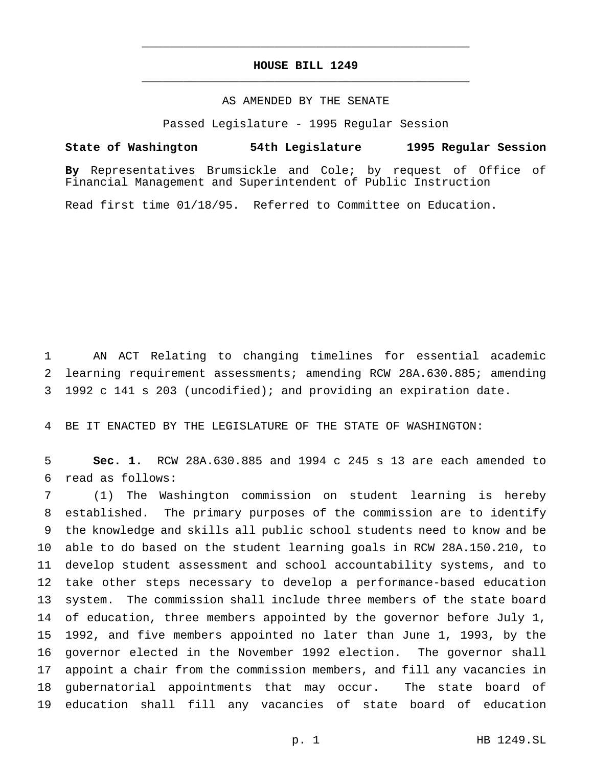## **HOUSE BILL 1249** \_\_\_\_\_\_\_\_\_\_\_\_\_\_\_\_\_\_\_\_\_\_\_\_\_\_\_\_\_\_\_\_\_\_\_\_\_\_\_\_\_\_\_\_\_\_\_

\_\_\_\_\_\_\_\_\_\_\_\_\_\_\_\_\_\_\_\_\_\_\_\_\_\_\_\_\_\_\_\_\_\_\_\_\_\_\_\_\_\_\_\_\_\_\_

### AS AMENDED BY THE SENATE

Passed Legislature - 1995 Regular Session

#### **State of Washington 54th Legislature 1995 Regular Session**

**By** Representatives Brumsickle and Cole; by request of Office of Financial Management and Superintendent of Public Instruction

Read first time 01/18/95. Referred to Committee on Education.

 AN ACT Relating to changing timelines for essential academic learning requirement assessments; amending RCW 28A.630.885; amending 1992 c 141 s 203 (uncodified); and providing an expiration date.

BE IT ENACTED BY THE LEGISLATURE OF THE STATE OF WASHINGTON:

 **Sec. 1.** RCW 28A.630.885 and 1994 c 245 s 13 are each amended to read as follows:

 (1) The Washington commission on student learning is hereby established. The primary purposes of the commission are to identify the knowledge and skills all public school students need to know and be able to do based on the student learning goals in RCW 28A.150.210, to develop student assessment and school accountability systems, and to take other steps necessary to develop a performance-based education system. The commission shall include three members of the state board 14 of education, three members appointed by the governor before July 1, 1992, and five members appointed no later than June 1, 1993, by the governor elected in the November 1992 election. The governor shall appoint a chair from the commission members, and fill any vacancies in gubernatorial appointments that may occur. The state board of education shall fill any vacancies of state board of education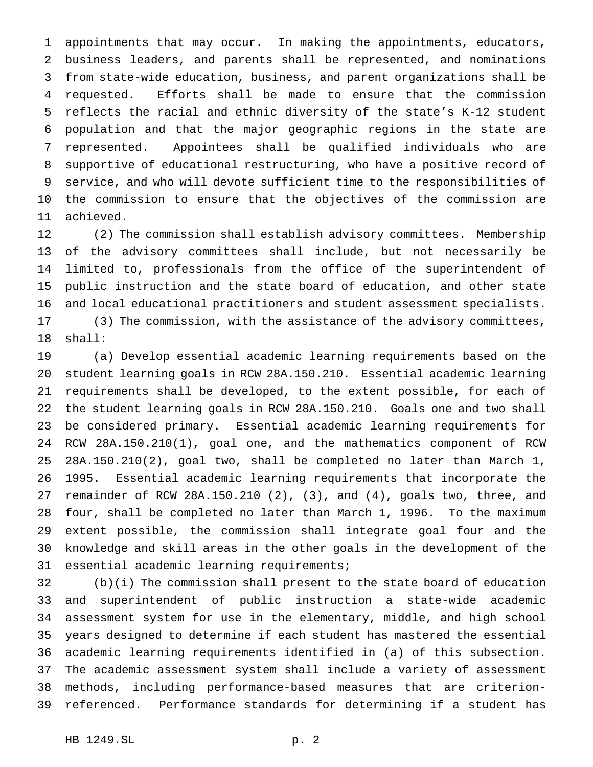appointments that may occur. In making the appointments, educators, business leaders, and parents shall be represented, and nominations from state-wide education, business, and parent organizations shall be requested. Efforts shall be made to ensure that the commission reflects the racial and ethnic diversity of the state's K-12 student population and that the major geographic regions in the state are represented. Appointees shall be qualified individuals who are supportive of educational restructuring, who have a positive record of service, and who will devote sufficient time to the responsibilities of the commission to ensure that the objectives of the commission are achieved.

 (2) The commission shall establish advisory committees. Membership of the advisory committees shall include, but not necessarily be limited to, professionals from the office of the superintendent of public instruction and the state board of education, and other state and local educational practitioners and student assessment specialists.

 (3) The commission, with the assistance of the advisory committees, shall:

 (a) Develop essential academic learning requirements based on the student learning goals in RCW 28A.150.210. Essential academic learning requirements shall be developed, to the extent possible, for each of the student learning goals in RCW 28A.150.210. Goals one and two shall be considered primary. Essential academic learning requirements for RCW 28A.150.210(1), goal one, and the mathematics component of RCW 28A.150.210(2), goal two, shall be completed no later than March 1, 1995. Essential academic learning requirements that incorporate the remainder of RCW 28A.150.210 (2), (3), and (4), goals two, three, and four, shall be completed no later than March 1, 1996. To the maximum extent possible, the commission shall integrate goal four and the knowledge and skill areas in the other goals in the development of the essential academic learning requirements;

 (b)(i) The commission shall present to the state board of education and superintendent of public instruction a state-wide academic assessment system for use in the elementary, middle, and high school years designed to determine if each student has mastered the essential academic learning requirements identified in (a) of this subsection. The academic assessment system shall include a variety of assessment methods, including performance-based measures that are criterion-referenced. Performance standards for determining if a student has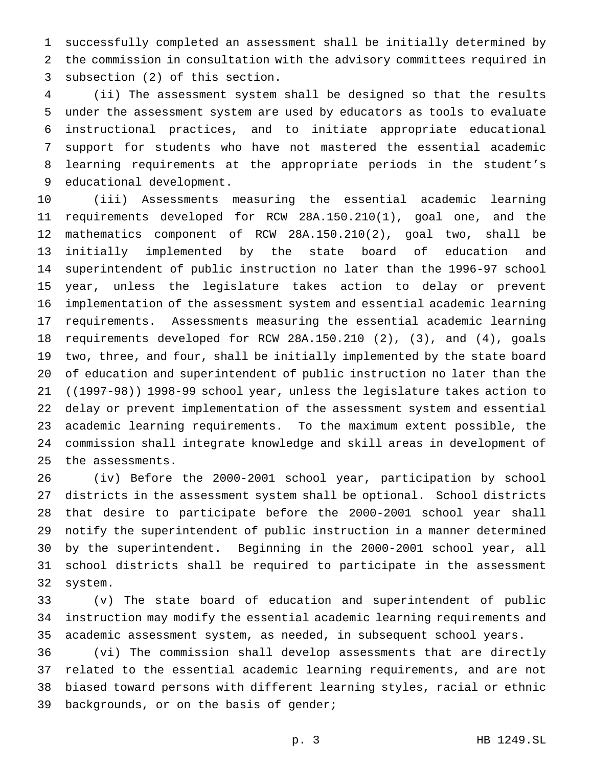successfully completed an assessment shall be initially determined by the commission in consultation with the advisory committees required in subsection (2) of this section.

 (ii) The assessment system shall be designed so that the results under the assessment system are used by educators as tools to evaluate instructional practices, and to initiate appropriate educational support for students who have not mastered the essential academic learning requirements at the appropriate periods in the student's educational development.

 (iii) Assessments measuring the essential academic learning requirements developed for RCW 28A.150.210(1), goal one, and the mathematics component of RCW 28A.150.210(2), goal two, shall be initially implemented by the state board of education and superintendent of public instruction no later than the 1996-97 school year, unless the legislature takes action to delay or prevent implementation of the assessment system and essential academic learning requirements. Assessments measuring the essential academic learning requirements developed for RCW 28A.150.210 (2), (3), and (4), goals two, three, and four, shall be initially implemented by the state board of education and superintendent of public instruction no later than the 21 ((1997-98)) 1998-99 school year, unless the legislature takes action to delay or prevent implementation of the assessment system and essential academic learning requirements. To the maximum extent possible, the commission shall integrate knowledge and skill areas in development of the assessments.

 (iv) Before the 2000-2001 school year, participation by school districts in the assessment system shall be optional. School districts that desire to participate before the 2000-2001 school year shall notify the superintendent of public instruction in a manner determined by the superintendent. Beginning in the 2000-2001 school year, all school districts shall be required to participate in the assessment system.

 (v) The state board of education and superintendent of public instruction may modify the essential academic learning requirements and academic assessment system, as needed, in subsequent school years.

 (vi) The commission shall develop assessments that are directly related to the essential academic learning requirements, and are not biased toward persons with different learning styles, racial or ethnic 39 backgrounds, or on the basis of gender;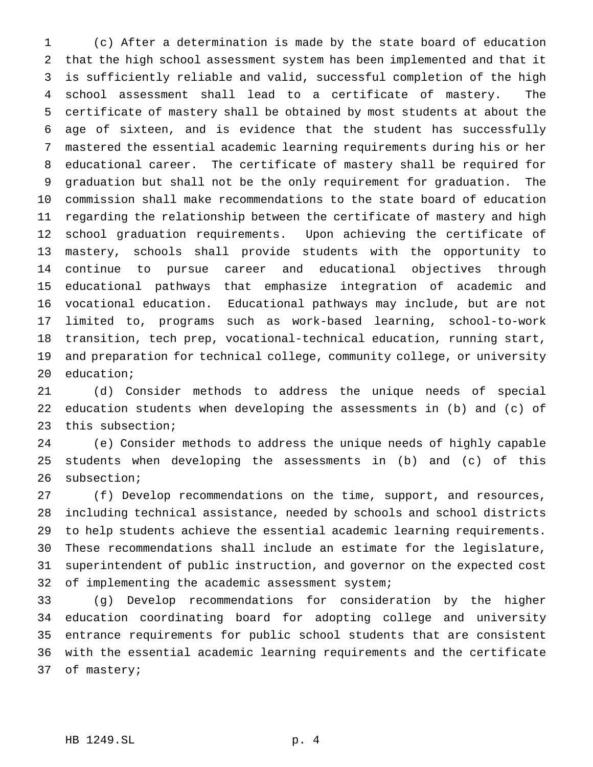(c) After a determination is made by the state board of education that the high school assessment system has been implemented and that it is sufficiently reliable and valid, successful completion of the high school assessment shall lead to a certificate of mastery. The certificate of mastery shall be obtained by most students at about the age of sixteen, and is evidence that the student has successfully mastered the essential academic learning requirements during his or her educational career. The certificate of mastery shall be required for graduation but shall not be the only requirement for graduation. The commission shall make recommendations to the state board of education regarding the relationship between the certificate of mastery and high school graduation requirements. Upon achieving the certificate of mastery, schools shall provide students with the opportunity to continue to pursue career and educational objectives through educational pathways that emphasize integration of academic and vocational education. Educational pathways may include, but are not limited to, programs such as work-based learning, school-to-work transition, tech prep, vocational-technical education, running start, and preparation for technical college, community college, or university education;

 (d) Consider methods to address the unique needs of special education students when developing the assessments in (b) and (c) of this subsection;

 (e) Consider methods to address the unique needs of highly capable students when developing the assessments in (b) and (c) of this subsection;

 (f) Develop recommendations on the time, support, and resources, including technical assistance, needed by schools and school districts to help students achieve the essential academic learning requirements. These recommendations shall include an estimate for the legislature, superintendent of public instruction, and governor on the expected cost 32 of implementing the academic assessment system;

 (g) Develop recommendations for consideration by the higher education coordinating board for adopting college and university entrance requirements for public school students that are consistent with the essential academic learning requirements and the certificate of mastery;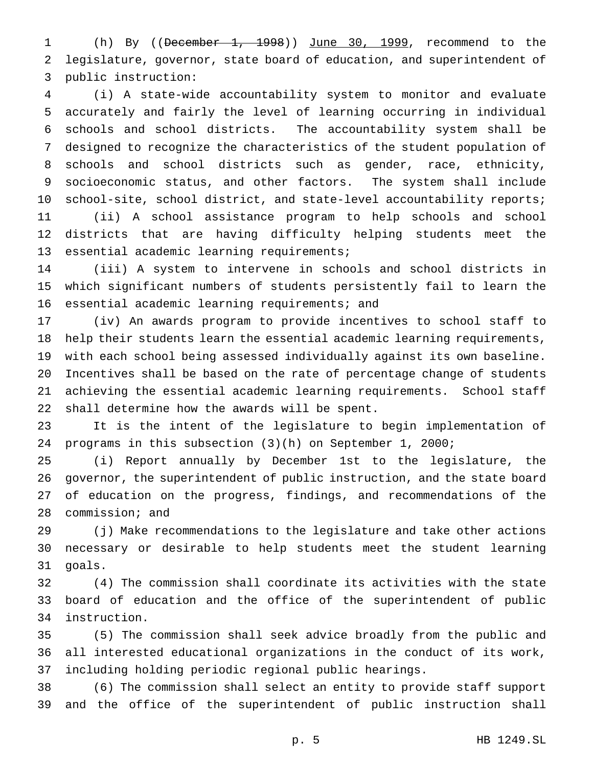(h) By ((December 1, 1998)) June 30, 1999, recommend to the legislature, governor, state board of education, and superintendent of public instruction:

 (i) A state-wide accountability system to monitor and evaluate accurately and fairly the level of learning occurring in individual schools and school districts. The accountability system shall be designed to recognize the characteristics of the student population of schools and school districts such as gender, race, ethnicity, socioeconomic status, and other factors. The system shall include school-site, school district, and state-level accountability reports; (ii) A school assistance program to help schools and school districts that are having difficulty helping students meet the essential academic learning requirements;

 (iii) A system to intervene in schools and school districts in which significant numbers of students persistently fail to learn the essential academic learning requirements; and

 (iv) An awards program to provide incentives to school staff to help their students learn the essential academic learning requirements, with each school being assessed individually against its own baseline. Incentives shall be based on the rate of percentage change of students achieving the essential academic learning requirements. School staff shall determine how the awards will be spent.

 It is the intent of the legislature to begin implementation of programs in this subsection (3)(h) on September 1, 2000;

 (i) Report annually by December 1st to the legislature, the governor, the superintendent of public instruction, and the state board of education on the progress, findings, and recommendations of the commission; and

 (j) Make recommendations to the legislature and take other actions necessary or desirable to help students meet the student learning goals.

 (4) The commission shall coordinate its activities with the state board of education and the office of the superintendent of public instruction.

 (5) The commission shall seek advice broadly from the public and all interested educational organizations in the conduct of its work, including holding periodic regional public hearings.

 (6) The commission shall select an entity to provide staff support and the office of the superintendent of public instruction shall